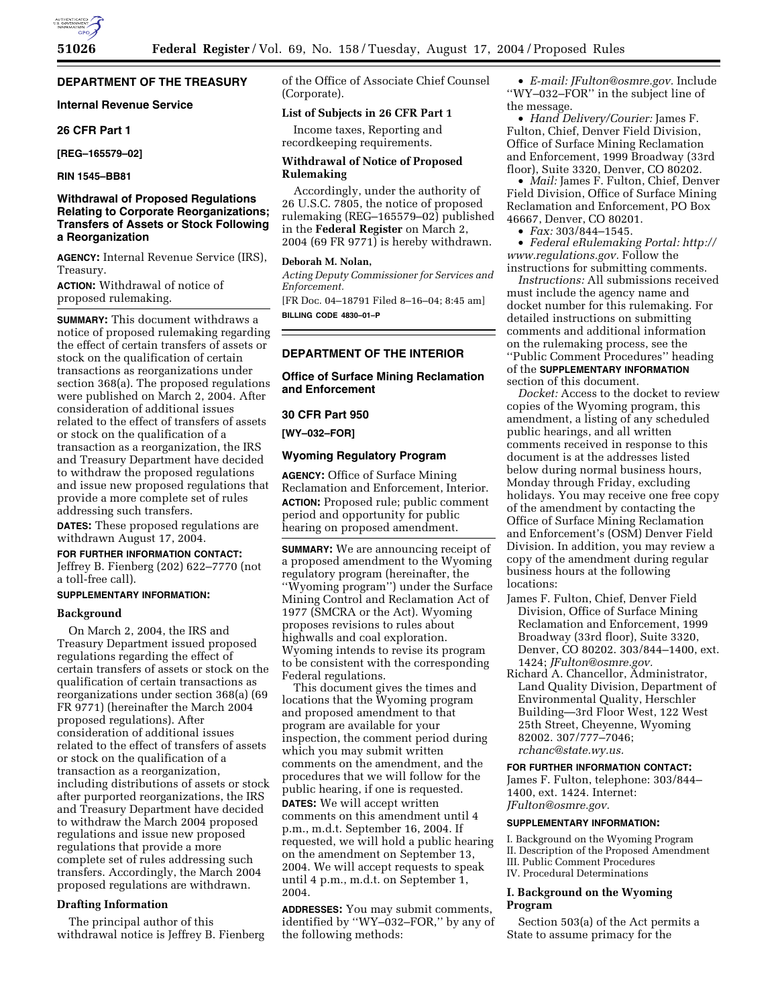# **DEPARTMENT OF THE TREASURY**

## **Internal Revenue Service**

## **26 CFR Part 1**

**[REG–165579–02]** 

**RIN 1545–BB81** 

## **Withdrawal of Proposed Regulations Relating to Corporate Reorganizations; Transfers of Assets or Stock Following a Reorganization**

**AGENCY:** Internal Revenue Service (IRS), Treasury.

**ACTION:** Withdrawal of notice of proposed rulemaking.

**SUMMARY:** This document withdraws a notice of proposed rulemaking regarding the effect of certain transfers of assets or stock on the qualification of certain transactions as reorganizations under section 368(a). The proposed regulations were published on March 2, 2004. After consideration of additional issues related to the effect of transfers of assets or stock on the qualification of a transaction as a reorganization, the IRS and Treasury Department have decided to withdraw the proposed regulations and issue new proposed regulations that provide a more complete set of rules addressing such transfers.

**DATES:** These proposed regulations are withdrawn August 17, 2004.

## **FOR FURTHER INFORMATION CONTACT:**

Jeffrey B. Fienberg (202) 622–7770 (not a toll-free call).

# **SUPPLEMENTARY INFORMATION:**

## **Background**

On March 2, 2004, the IRS and Treasury Department issued proposed regulations regarding the effect of certain transfers of assets or stock on the qualification of certain transactions as reorganizations under section 368(a) (69 FR 9771) (hereinafter the March 2004 proposed regulations). After consideration of additional issues related to the effect of transfers of assets or stock on the qualification of a transaction as a reorganization, including distributions of assets or stock after purported reorganizations, the IRS and Treasury Department have decided to withdraw the March 2004 proposed regulations and issue new proposed regulations that provide a more complete set of rules addressing such transfers. Accordingly, the March 2004 proposed regulations are withdrawn.

#### **Drafting Information**

The principal author of this withdrawal notice is Jeffrey B. Fienberg of the Office of Associate Chief Counsel (Corporate).

#### **List of Subjects in 26 CFR Part 1**

Income taxes, Reporting and recordkeeping requirements.

## **Withdrawal of Notice of Proposed Rulemaking**

Accordingly, under the authority of 26 U.S.C. 7805, the notice of proposed rulemaking (REG–165579–02) published in the **Federal Register** on March 2, 2004 (69 FR 9771) is hereby withdrawn.

#### **Deborah M. Nolan,**

*Acting Deputy Commissioner for Services and Enforcement.* [FR Doc. 04–18791 Filed 8–16–04; 8:45 am]

**BILLING CODE 4830–01–P**

# **DEPARTMENT OF THE INTERIOR**

# **Office of Surface Mining Reclamation and Enforcement**

# **30 CFR Part 950**

**[WY–032–FOR]** 

#### **Wyoming Regulatory Program**

**AGENCY:** Office of Surface Mining Reclamation and Enforcement, Interior. **ACTION:** Proposed rule; public comment period and opportunity for public hearing on proposed amendment.

**SUMMARY:** We are announcing receipt of a proposed amendment to the Wyoming regulatory program (hereinafter, the ''Wyoming program'') under the Surface Mining Control and Reclamation Act of 1977 (SMCRA or the Act). Wyoming proposes revisions to rules about highwalls and coal exploration. Wyoming intends to revise its program to be consistent with the corresponding Federal regulations.

This document gives the times and locations that the Wyoming program and proposed amendment to that program are available for your inspection, the comment period during which you may submit written comments on the amendment, and the procedures that we will follow for the public hearing, if one is requested. **DATES:** We will accept written comments on this amendment until 4 p.m., m.d.t. September 16, 2004. If requested, we will hold a public hearing on the amendment on September 13, 2004. We will accept requests to speak until 4 p.m., m.d.t. on September 1, 2004.

**ADDRESSES:** You may submit comments, identified by ''WY–032–FOR,'' by any of the following methods:

• *E-mail: JFulton@osmre.gov.* Include ''WY–032–FOR'' in the subject line of the message.

• *Hand Delivery/Courier:* James F. Fulton, Chief, Denver Field Division, Office of Surface Mining Reclamation and Enforcement, 1999 Broadway (33rd floor), Suite 3320, Denver, CO 80202.

• *Mail:* James F. Fulton, Chief, Denver Field Division, Office of Surface Mining Reclamation and Enforcement, PO Box 46667, Denver, CO 80201.

• *Fax:* 303/844–1545.

• *Federal eRulemaking Portal: http:// www.regulations.gov.* Follow the instructions for submitting comments.

*Instructions:* All submissions received must include the agency name and docket number for this rulemaking. For detailed instructions on submitting comments and additional information on the rulemaking process, see the ''Public Comment Procedures'' heading of the **SUPPLEMENTARY INFORMATION** section of this document.

*Docket:* Access to the docket to review copies of the Wyoming program, this amendment, a listing of any scheduled public hearings, and all written comments received in response to this document is at the addresses listed below during normal business hours, Monday through Friday, excluding holidays. You may receive one free copy of the amendment by contacting the Office of Surface Mining Reclamation and Enforcement's (OSM) Denver Field Division. In addition, you may review a copy of the amendment during regular business hours at the following locations:

- James F. Fulton, Chief, Denver Field Division, Office of Surface Mining Reclamation and Enforcement, 1999 Broadway (33rd floor), Suite 3320, Denver, CO 80202. 303/844–1400, ext. 1424; *JFulton@osmre.gov.*
- Richard A. Chancellor, Administrator, Land Quality Division, Department of Environmental Quality, Herschler Building—3rd Floor West, 122 West 25th Street, Cheyenne, Wyoming 82002. 307/777–7046; *rchanc@state.wy.us.*

## **FOR FURTHER INFORMATION CONTACT:**

James F. Fulton, telephone: 303/844– 1400, ext. 1424. Internet: *JFulton@osmre.gov.*

#### **SUPPLEMENTARY INFORMATION:**

I. Background on the Wyoming Program II. Description of the Proposed Amendment III. Public Comment Procedures IV. Procedural Determinations

# **I. Background on the Wyoming Program**

Section 503(a) of the Act permits a State to assume primacy for the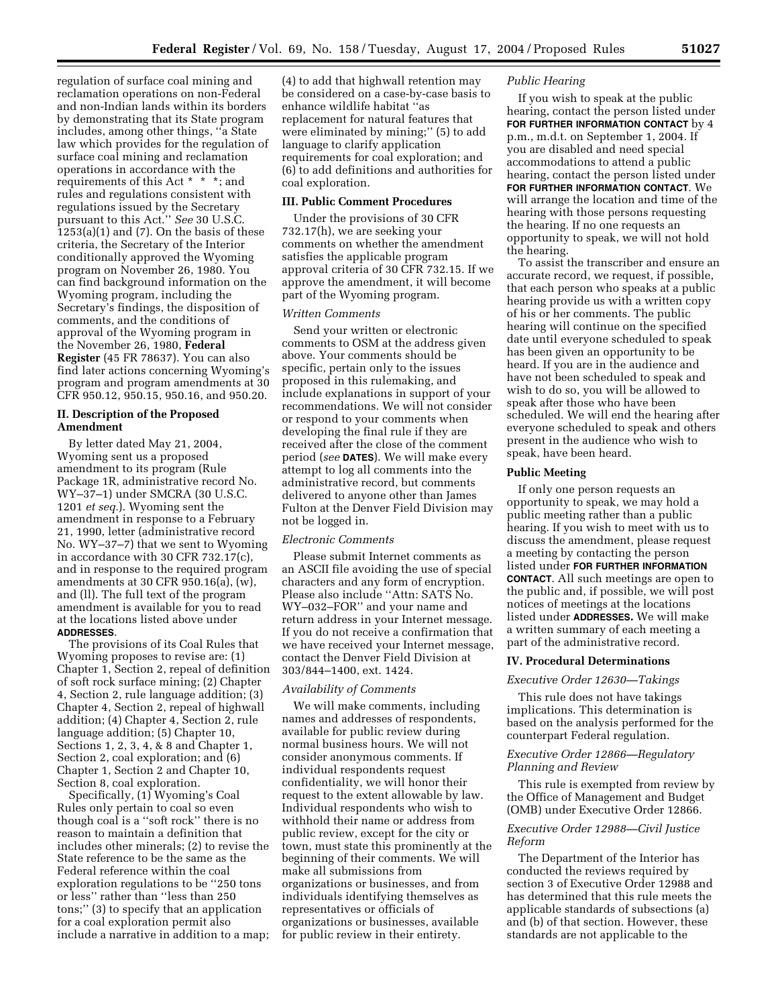regulation of surface coal mining and reclamation operations on non-Federal and non-Indian lands within its borders by demonstrating that its State program includes, among other things, ''a State law which provides for the regulation of surface coal mining and reclamation operations in accordance with the requirements of this Act \* \* \*; and rules and regulations consistent with regulations issued by the Secretary pursuant to this Act.'' *See* 30 U.S.C.  $1253(a)(1)$  and  $(7)$ . On the basis of these criteria, the Secretary of the Interior conditionally approved the Wyoming program on November 26, 1980. You can find background information on the Wyoming program, including the Secretary's findings, the disposition of comments, and the conditions of approval of the Wyoming program in the November 26, 1980, **Federal Register** (45 FR 78637). You can also find later actions concerning Wyoming's program and program amendments at 30 CFR 950.12, 950.15, 950.16, and 950.20.

#### **II. Description of the Proposed Amendment**

By letter dated May 21, 2004, Wyoming sent us a proposed amendment to its program (Rule Package 1R, administrative record No. WY–37–1) under SMCRA (30 U.S.C. 1201 *et seq.*). Wyoming sent the amendment in response to a February 21, 1990, letter (administrative record No. WY–37–7) that we sent to Wyoming in accordance with 30 CFR 732.17(c), and in response to the required program amendments at 30 CFR 950.16(a), (w), and (ll). The full text of the program amendment is available for you to read at the locations listed above under **ADDRESSES**.

The provisions of its Coal Rules that Wyoming proposes to revise are: (1) Chapter 1, Section 2, repeal of definition of soft rock surface mining; (2) Chapter 4, Section 2, rule language addition; (3) Chapter 4, Section 2, repeal of highwall addition; (4) Chapter 4, Section 2, rule language addition; (5) Chapter 10, Sections 1, 2, 3, 4, & 8 and Chapter 1, Section 2, coal exploration; and (6) Chapter 1, Section 2 and Chapter 10, Section 8, coal exploration.

Specifically, (1) Wyoming's Coal Rules only pertain to coal so even though coal is a ''soft rock'' there is no reason to maintain a definition that includes other minerals; (2) to revise the State reference to be the same as the Federal reference within the coal exploration regulations to be ''250 tons or less'' rather than ''less than 250 tons;'' (3) to specify that an application for a coal exploration permit also include a narrative in addition to a map;

(4) to add that highwall retention may be considered on a case-by-case basis to enhance wildlife habitat ''as replacement for natural features that were eliminated by mining;'' (5) to add language to clarify application requirements for coal exploration; and (6) to add definitions and authorities for coal exploration.

## **III. Public Comment Procedures**

Under the provisions of 30 CFR 732.17(h), we are seeking your comments on whether the amendment satisfies the applicable program approval criteria of 30 CFR 732.15. If we approve the amendment, it will become part of the Wyoming program.

## *Written Comments*

Send your written or electronic comments to OSM at the address given above. Your comments should be specific, pertain only to the issues proposed in this rulemaking, and include explanations in support of your recommendations. We will not consider or respond to your comments when developing the final rule if they are received after the close of the comment period (*see* **DATES**). We will make every attempt to log all comments into the administrative record, but comments delivered to anyone other than James Fulton at the Denver Field Division may not be logged in.

## *Electronic Comments*

Please submit Internet comments as an ASCII file avoiding the use of special characters and any form of encryption. Please also include ''Attn: SATS No. WY–032–FOR'' and your name and return address in your Internet message. If you do not receive a confirmation that we have received your Internet message, contact the Denver Field Division at 303/844–1400, ext. 1424.

## *Availability of Comments*

We will make comments, including names and addresses of respondents, available for public review during normal business hours. We will not consider anonymous comments. If individual respondents request confidentiality, we will honor their request to the extent allowable by law. Individual respondents who wish to withhold their name or address from public review, except for the city or town, must state this prominently at the beginning of their comments. We will make all submissions from organizations or businesses, and from individuals identifying themselves as representatives or officials of organizations or businesses, available for public review in their entirety.

## *Public Hearing*

If you wish to speak at the public hearing, contact the person listed under **FOR FURTHER INFORMATION CONTACT** by 4 p.m., m.d.t. on September 1, 2004. If you are disabled and need special accommodations to attend a public hearing, contact the person listed under **FOR FURTHER INFORMATION CONTACT**. We will arrange the location and time of the hearing with those persons requesting the hearing. If no one requests an opportunity to speak, we will not hold the hearing.

To assist the transcriber and ensure an accurate record, we request, if possible, that each person who speaks at a public hearing provide us with a written copy of his or her comments. The public hearing will continue on the specified date until everyone scheduled to speak has been given an opportunity to be heard. If you are in the audience and have not been scheduled to speak and wish to do so, you will be allowed to speak after those who have been scheduled. We will end the hearing after everyone scheduled to speak and others present in the audience who wish to speak, have been heard.

## **Public Meeting**

If only one person requests an opportunity to speak, we may hold a public meeting rather than a public hearing. If you wish to meet with us to discuss the amendment, please request a meeting by contacting the person listed under **FOR FURTHER INFORMATION CONTACT**. All such meetings are open to the public and, if possible, we will post notices of meetings at the locations listed under **ADDRESSES.** We will make a written summary of each meeting a part of the administrative record.

#### **IV. Procedural Determinations**

#### *Executive Order 12630—Takings*

This rule does not have takings implications. This determination is based on the analysis performed for the counterpart Federal regulation.

#### *Executive Order 12866—Regulatory Planning and Review*

This rule is exempted from review by the Office of Management and Budget (OMB) under Executive Order 12866.

## *Executive Order 12988—Civil Justice Reform*

The Department of the Interior has conducted the reviews required by section 3 of Executive Order 12988 and has determined that this rule meets the applicable standards of subsections (a) and (b) of that section. However, these standards are not applicable to the